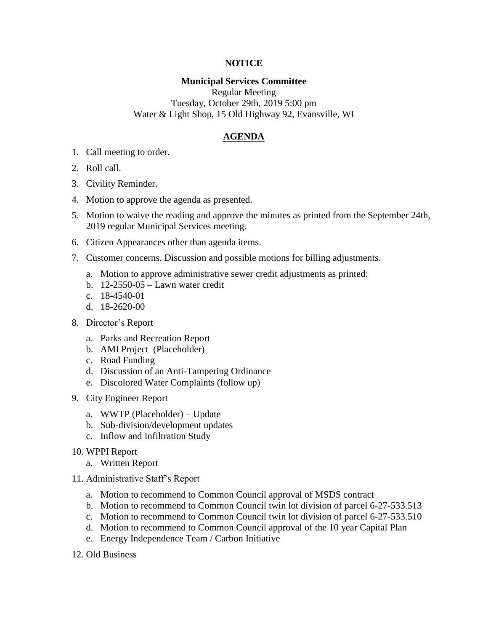## **NOTICE**

## **Municipal Services Committee**

Regular Meeting Tuesday, October 29th, 2019 5:00 pm Water & Light Shop, 15 Old Highway 92, Evansville, WI

## **AGENDA**

- 1. Call meeting to order.
- 2. Roll call.
- 3. Civility Reminder.
- 4. Motion to approve the agenda as presented.
- 5. Motion to waive the reading and approve the minutes as printed from the September 24th, 2019 regular Municipal Services meeting.
- 6. Citizen Appearances other than agenda items.
- 7. Customer concerns. Discussion and possible motions for billing adjustments.
	- a. Motion to approve administrative sewer credit adjustments as printed:
	- b. 12-2550-05 Lawn water credit
	- c. 18-4540-01
	- d. 18-2620-00
- 8. Director's Report
	- a. Parks and Recreation Report
	- b. AMI Project (Placeholder)
	- c. Road Funding
	- d. Discussion of an Anti-Tampering Ordinance
	- e. Discolored Water Complaints (follow up)
- 9. City Engineer Report
	- a. WWTP (Placeholder) Update
	- b. Sub-division/development updates
	- c. Inflow and Infiltration Study
- 10. WPPI Report
	- a. Written Report
- 11. Administrative Staff's Report
	- a. Motion to recommend to Common Council approval of MSDS contract
	- b. Motion to recommend to Common Council twin lot division of parcel 6-27-533.513
	- c. Motion to recommend to Common Council twin lot division of parcel 6-27-533.510
	- d. Motion to recommend to Common Council approval of the 10 year Capital Plan
	- e. Energy Independence Team / Carbon Initiative
- 12. Old Business